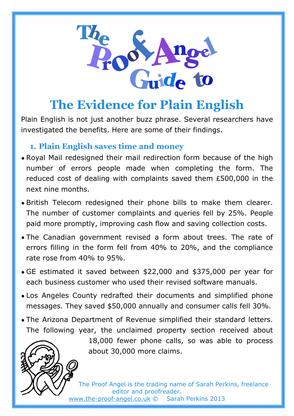

# **The Evidence for Plain English**

Plain English is not just another buzz phrase. Several researchers have investigated the benefits. Here are some of their findings.

## **1. Plain English saves time and money**

- Royal Mail redesigned their mail redirection form because of the high number of errors people made when completing the form. The reduced cost of dealing with complaints saved them £500,000 in the next nine months.
- British Telecom redesigned their phone bills to make them clearer. The number of customer complaints and queries fell by 25%. People paid more promptly, improving cash flow and saving collection costs.
- The Canadian government revised a form about trees. The rate of errors filling in the form fell from 40% to 20%, and the compliance rate rose from 40% to 95%.
- GE estimated it saved between \$22,000 and \$375,000 per year for each business customer who used their revised software manuals.
- Los Angeles County redrafted their documents and simplified phone messages. They saved \$50,000 annually and consumer calls fell 30%.
- The Arizona Department of Revenue simplified their standard letters. The following year, the unclaimed property section received about



18,000 fewer phone calls, so was able to process about 30,000 more claims.

The Proof Angel is the trading name of Sarah Perkins, freelance editor and proofreader. [www.the-proof-angel.co.uk](http://www.the-proof-angel.co.uk/) © Sarah Perkins 2013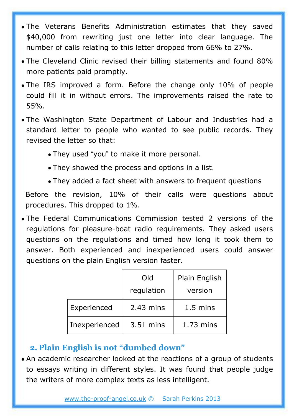- The Veterans Benefits Administration estimates that they saved \$40,000 from rewriting just one letter into clear language. The number of calls relating to this letter dropped from 66% to 27%.
- The Cleveland Clinic revised their billing statements and found 80% more patients paid promptly.
- The IRS improved a form. Before the change only 10% of people could fill it in without errors. The improvements raised the rate to 55%.
- The Washington State Department of Labour and Industries had a standard letter to people who wanted to see public records. They revised the letter so that:
	- They used "you" to make it more personal.
	- They showed the process and options in a list.
	- They added a fact sheet with answers to frequent questions

Before the revision, 10% of their calls were questions about procedures. This dropped to 1%.

• The Federal Communications Commission tested 2 versions of the regulations for pleasure-boat radio requirements. They asked users questions on the regulations and timed how long it took them to answer. Both experienced and inexperienced users could answer questions on the plain English version faster.

|               | Old         | Plain English      |
|---------------|-------------|--------------------|
|               | regulation  | version            |
| Experienced   | $2.43$ mins | $1.5 \text{ mins}$ |
| Inexperienced | 3.51 mins   | $1.73$ mins        |

### **2. Plain English is not "dumbed down"**

• An academic researcher looked at the reactions of a group of students to essays writing in different styles. It was found that people judge the writers of more complex texts as less intelligent.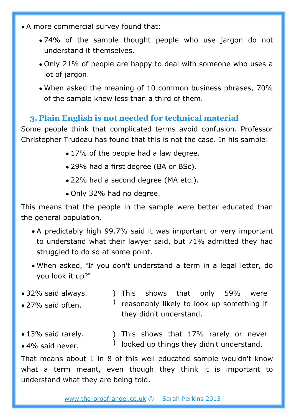- A more commercial survey found that:
	- 74% of the sample thought people who use jargon do not understand it themselves.
	- Only 21% of people are happy to deal with someone who uses a lot of jargon.
	- When asked the meaning of 10 common business phrases, 70% of the sample knew less than a third of them.

### **3. Plain English is not needed for technical material**

Some people think that complicated terms avoid confusion. Professor Christopher Trudeau has found that this is not the case. In his sample:

- 17% of the people had a law degree.
- 29% had a first degree (BA or BSc).
- 22% had a second degree (MA etc.).
- Only 32% had no degree.

This means that the people in the sample were better educated than the general population.

- A predictably high 99.7% said it was important or very important to understand what their lawyer said, but 71% admitted they had struggled to do so at some point.
- When asked, "If you don't understand a term in a legal letter, do you look it up?"
- $\bullet$  32% said always. ) reasonably likely to look up something if ) This shows that only 59% were they didn't understand. • 27% said often.
- 13% said rarely. ) This shows that 17% rarely or never
- 4% said never.  $\overrightarrow{)}$  looked up things they didn't understand.

That means about 1 in 8 of this well educated sample wouldn't know what a term meant, even though they think it is important to understand what they are being told.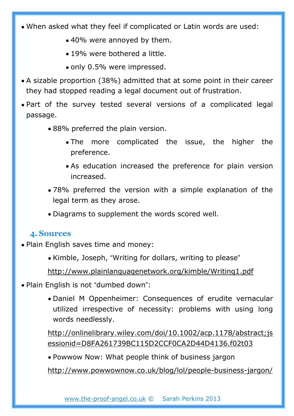- When asked what they feel if complicated or Latin words are used:
	- 40% were annoyed by them.
	- 19% were bothered a little.
	- only 0.5% were impressed.
- A sizable proportion (38%) admitted that at some point in their career they had stopped reading a legal document out of frustration.
- Part of the survey tested several versions of a complicated legal passage.
	- 88% preferred the plain version.
		- The more complicated the issue, the higher the preference.
		- As education increased the preference for plain version increased.
	- 78% preferred the version with a simple explanation of the legal term as they arose.
	- Diagrams to supplement the words scored well.

#### **4.Sources**

- Plain English saves time and money:
	- Kimble, Joseph, "Writing for dollars, writing to please"

<http://www.plainlanguagenetwork.org/kimble/Writing1.pdf>

- Plain English is not "dumbed down":
	- Daniel M Oppenheimer: Consequences of erudite vernacular utilized irrespective of necessity: problems with using long words needlessly.

[http://onlinelibrary.wiley.com/doi/10.1002/acp.1178/abstract;js](http://onlinelibrary.wiley.com/doi/10.1002/acp.1178/abstract;jsessionid=D8FA261739BC115D2CCF0CA2D44D4136.f02t03) [essionid=D8FA261739BC115D2CCF0CA2D44D4136.f02t03](http://onlinelibrary.wiley.com/doi/10.1002/acp.1178/abstract;jsessionid=D8FA261739BC115D2CCF0CA2D44D4136.f02t03)

• Powwow Now: What people think of business jargon

<http://www.powwownow.co.uk/blog/lol/people-business-jargon/>